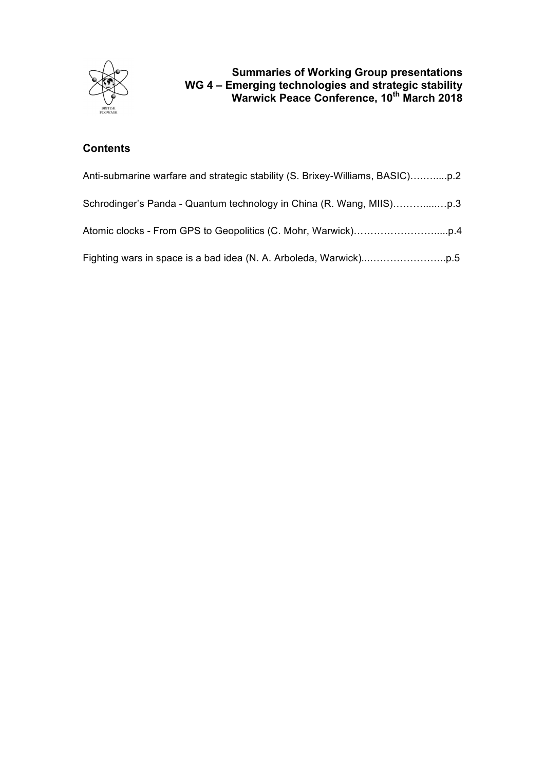

# **Summaries of Working Group presentations WG 4 – Emerging technologies and strategic stability Warwick Peace Conference, 10<sup>th</sup> March 2018**

# **Contents**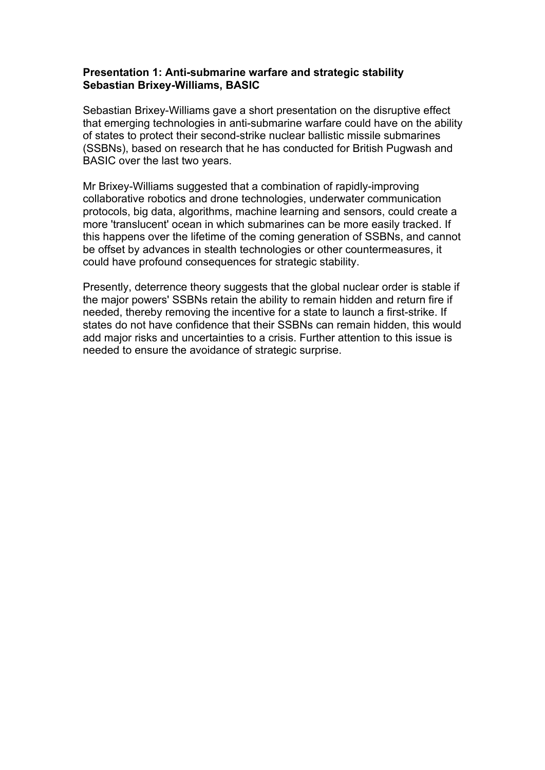### **Presentation 1: Anti-submarine warfare and strategic stability Sebastian Brixey-Williams, BASIC**

Sebastian Brixey-Williams gave a short presentation on the disruptive effect that emerging technologies in anti-submarine warfare could have on the ability of states to protect their second-strike nuclear ballistic missile submarines (SSBNs), based on research that he has conducted for British Pugwash and BASIC over the last two years.

Mr Brixey-Williams suggested that a combination of rapidly-improving collaborative robotics and drone technologies, underwater communication protocols, big data, algorithms, machine learning and sensors, could create a more 'translucent' ocean in which submarines can be more easily tracked. If this happens over the lifetime of the coming generation of SSBNs, and cannot be offset by advances in stealth technologies or other countermeasures, it could have profound consequences for strategic stability.

Presently, deterrence theory suggests that the global nuclear order is stable if the major powers' SSBNs retain the ability to remain hidden and return fire if needed, thereby removing the incentive for a state to launch a first-strike. If states do not have confidence that their SSBNs can remain hidden, this would add major risks and uncertainties to a crisis. Further attention to this issue is needed to ensure the avoidance of strategic surprise.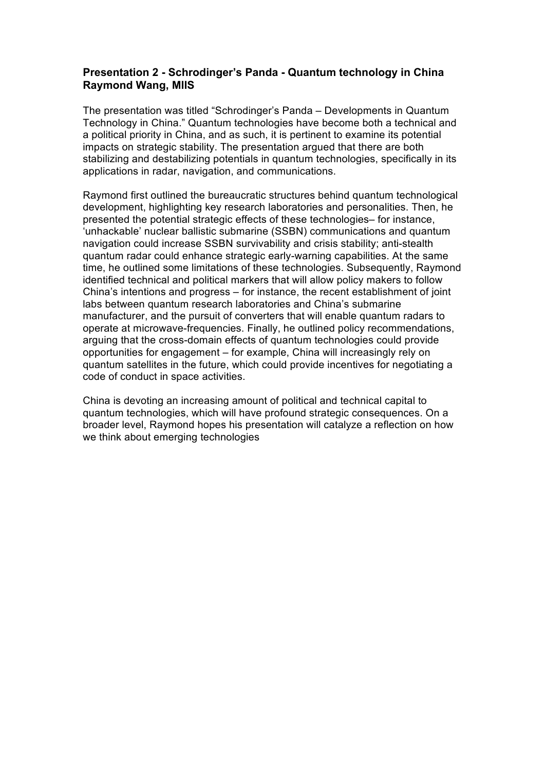### **Presentation 2 - Schrodinger's Panda - Quantum technology in China Raymond Wang, MIIS**

The presentation was titled "Schrodinger's Panda – Developments in Quantum Technology in China." Quantum technologies have become both a technical and a political priority in China, and as such, it is pertinent to examine its potential impacts on strategic stability. The presentation argued that there are both stabilizing and destabilizing potentials in quantum technologies, specifically in its applications in radar, navigation, and communications.

Raymond first outlined the bureaucratic structures behind quantum technological development, highlighting key research laboratories and personalities. Then, he presented the potential strategic effects of these technologies– for instance, 'unhackable' nuclear ballistic submarine (SSBN) communications and quantum navigation could increase SSBN survivability and crisis stability; anti-stealth quantum radar could enhance strategic early-warning capabilities. At the same time, he outlined some limitations of these technologies. Subsequently, Raymond identified technical and political markers that will allow policy makers to follow China's intentions and progress – for instance, the recent establishment of joint labs between quantum research laboratories and China's submarine manufacturer, and the pursuit of converters that will enable quantum radars to operate at microwave-frequencies. Finally, he outlined policy recommendations, arguing that the cross-domain effects of quantum technologies could provide opportunities for engagement – for example, China will increasingly rely on quantum satellites in the future, which could provide incentives for negotiating a code of conduct in space activities.

China is devoting an increasing amount of political and technical capital to quantum technologies, which will have profound strategic consequences. On a broader level, Raymond hopes his presentation will catalyze a reflection on how we think about emerging technologies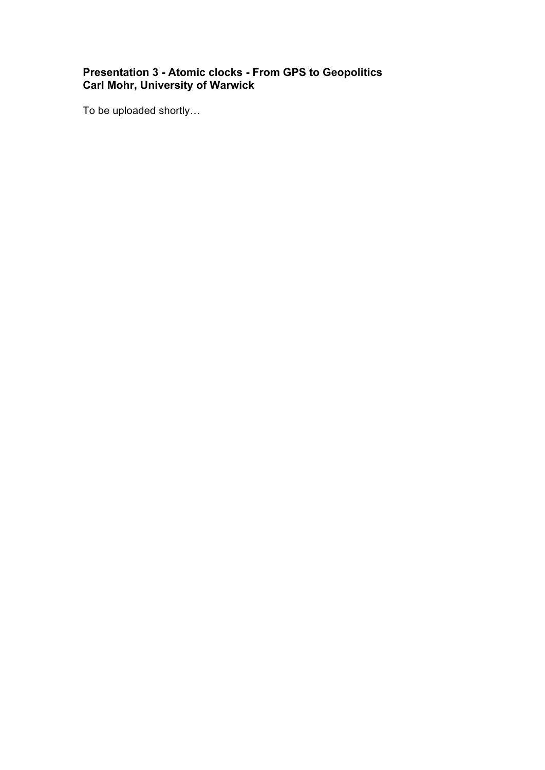## **Presentation 3 - Atomic clocks - From GPS to Geopolitics Carl Mohr, University of Warwick**

To be uploaded shortly…